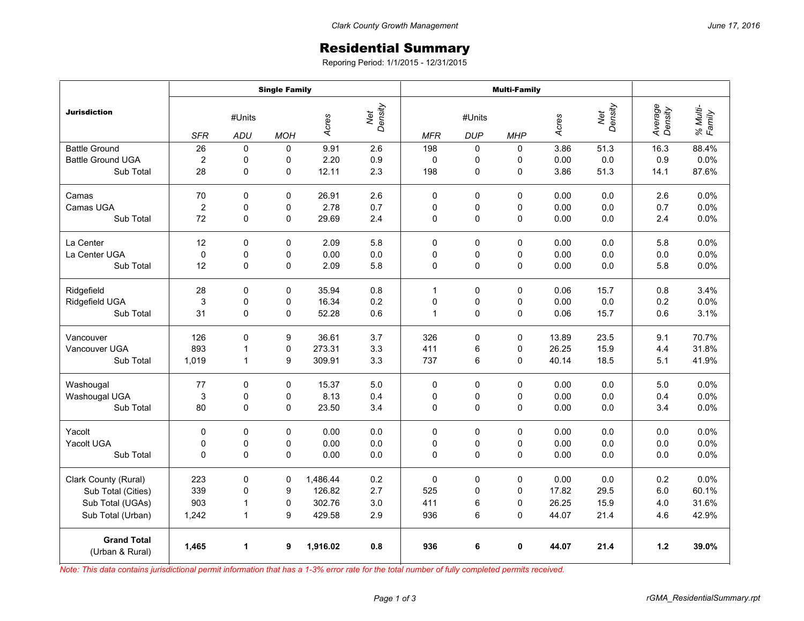## Residential Summary

Reporing Period: 1/1/2015 - 12/31/2015

|                                       | <b>Single Family</b> |              |             |                         |         | <b>Multi-Family</b> |             |              |       |                |                    |                    |
|---------------------------------------|----------------------|--------------|-------------|-------------------------|---------|---------------------|-------------|--------------|-------|----------------|--------------------|--------------------|
| <b>Jurisdiction</b>                   | #Units               |              |             | Net<br>Density<br>Acres |         | #Units              |             |              | Acres | Net<br>Density | Average<br>Density | % Multi-<br>Family |
|                                       | <b>SFR</b>           | <b>ADU</b>   | <b>MOH</b>  |                         |         | <b>MFR</b>          | <b>DUP</b>  | <b>MHP</b>   |       |                |                    |                    |
| <b>Battle Ground</b>                  | 26                   | $\mathbf 0$  | 0           | 9.91                    | 2.6     | 198                 | 0           | $\Omega$     | 3.86  | 51.3           | 16.3               | 88.4%              |
| <b>Battle Ground UGA</b>              | 2                    | 0            | 0           | 2.20                    | 0.9     | $\mathbf 0$         | 0           | 0            | 0.00  | 0.0            | 0.9                | 0.0%               |
| Sub Total                             | 28                   | 0            | $\mathbf 0$ | 12.11                   | 2.3     | 198                 | $\pmb{0}$   | $\mathbf 0$  | 3.86  | 51.3           | 14.1               | 87.6%              |
| Camas                                 | 70                   | 0            | $\mathbf 0$ | 26.91                   | 2.6     | 0                   | $\mathbf 0$ | $\Omega$     | 0.00  | 0.0            | 2.6                | 0.0%               |
| Camas UGA                             | $\overline{c}$       | $\mathbf 0$  | 0           | 2.78                    | 0.7     | 0                   | 0           | $\Omega$     | 0.00  | 0.0            | 0.7                | 0.0%               |
| Sub Total                             | 72                   | 0            | 0           | 29.69                   | 2.4     | 0                   | $\mathbf 0$ | $\mathbf 0$  | 0.00  | 0.0            | 2.4                | 0.0%               |
| La Center                             | 12                   | 0            | 0           | 2.09                    | 5.8     | $\mathbf 0$         | $\mathbf 0$ | $\mathbf 0$  | 0.00  | 0.0            | 5.8                | 0.0%               |
| La Center UGA                         | $\pmb{0}$            | 0            | 0           | 0.00                    | 0.0     | 0                   | 0           | 0            | 0.00  | 0.0            | 0.0                | 0.0%               |
| Sub Total                             | 12                   | $\mathbf 0$  | $\Omega$    | 2.09                    | 5.8     | 0                   | $\pmb{0}$   | $\Omega$     | 0.00  | 0.0            | 5.8                | 0.0%               |
| Ridgefield                            | 28                   | 0            | 0           | 35.94                   | 0.8     | 1                   | $\mathbf 0$ | 0            | 0.06  | 15.7           | 0.8                | 3.4%               |
| Ridgefield UGA                        | 3                    | $\mathbf 0$  | 0           | 16.34                   | 0.2     | $\mathbf 0$         | 0           | 0            | 0.00  | 0.0            | 0.2                | 0.0%               |
| Sub Total                             | 31                   | 0            | 0           | 52.28                   | 0.6     | 1                   | 0           | $\mathbf 0$  | 0.06  | 15.7           | 0.6                | 3.1%               |
| Vancouver                             | 126                  | $\Omega$     | 9           | 36.61                   | 3.7     | 326                 | $\mathbf 0$ | $\mathbf 0$  | 13.89 | 23.5           | 9.1                | 70.7%              |
| Vancouver UGA                         | 893                  | 1            | 0           | 273.31                  | 3.3     | 411                 | 6           | 0            | 26.25 | 15.9           | 4.4                | 31.8%              |
| Sub Total                             | 1,019                | $\mathbf{1}$ | 9           | 309.91                  | 3.3     | 737                 | 6           | $\Omega$     | 40.14 | 18.5           | 5.1                | 41.9%              |
| Washougal                             | 77                   | 0            | 0           | 15.37                   | 5.0     | $\mathbf 0$         | 0           | $\mathbf 0$  | 0.00  | 0.0            | 5.0                | 0.0%               |
| Washougal UGA                         | $\mathsf 3$          | 0            | 0           | 8.13                    | 0.4     | 0                   | 0           | 0            | 0.00  | 0.0            | 0.4                | 0.0%               |
| Sub Total                             | 80                   | 0            | 0           | 23.50                   | 3.4     | 0                   | 0           | $\mathbf 0$  | 0.00  | 0.0            | 3.4                | 0.0%               |
| Yacolt                                | 0                    | $\Omega$     | $\Omega$    | 0.00                    | 0.0     | $\Omega$            | $\mathbf 0$ | $\mathbf{0}$ | 0.00  | 0.0            | 0.0                | 0.0%               |
| Yacolt UGA                            | 0                    | 0            | 0           | 0.00                    | $0.0\,$ | 0                   | 0           | 0            | 0.00  | 0.0            | 0.0                | 0.0%               |
| Sub Total                             | 0                    | $\mathbf 0$  | 0           | 0.00                    | 0.0     | $\Omega$            | $\mathbf 0$ | $\mathbf 0$  | 0.00  | 0.0            | 0.0                | 0.0%               |
| Clark County (Rural)                  | 223                  | 0            | 0           | 1,486.44                | 0.2     | 0                   | 0           | 0            | 0.00  | 0.0            | 0.2                | 0.0%               |
| Sub Total (Cities)                    | 339                  | 0            | 9           | 126.82                  | 2.7     | 525                 | 0           | $\mathbf 0$  | 17.82 | 29.5           | 6.0                | 60.1%              |
| Sub Total (UGAs)                      | 903                  | 1            | 0           | 302.76                  | 3.0     | 411                 | 6           | 0            | 26.25 | 15.9           | 4.0                | 31.6%              |
| Sub Total (Urban)                     | 1,242                | $\mathbf{1}$ | 9           | 429.58                  | 2.9     | 936                 | 6           | 0            | 44.07 | 21.4           | 4.6                | 42.9%              |
| <b>Grand Total</b><br>(Urban & Rural) | 1,465                | 1            | 9           | 1,916.02                | 0.8     | 936                 | 6           | $\mathbf 0$  | 44.07 | 21.4           | $1.2$              | 39.0%              |

*Note: This data contains jurisdictional permit information that has a 1-3% error rate for the total number of fully completed permits received.*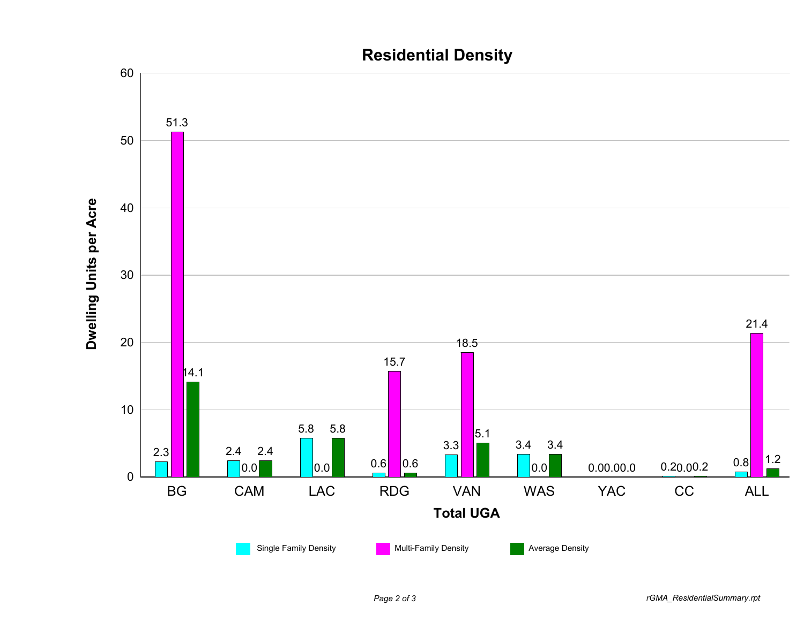

## **Residential Density**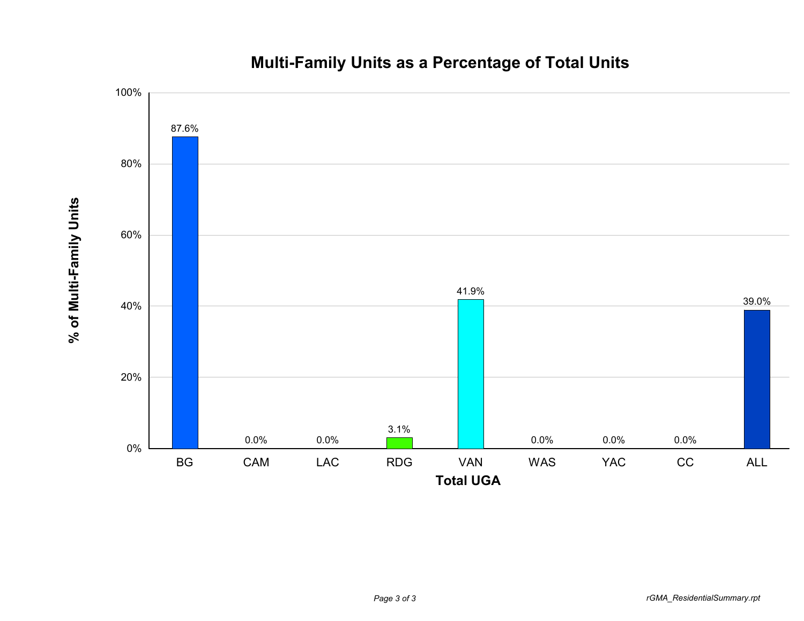

**% of Multi-Family Units**

% of Multi-Family Units

## **Multi-Family Units as a Percentage of Total Units**